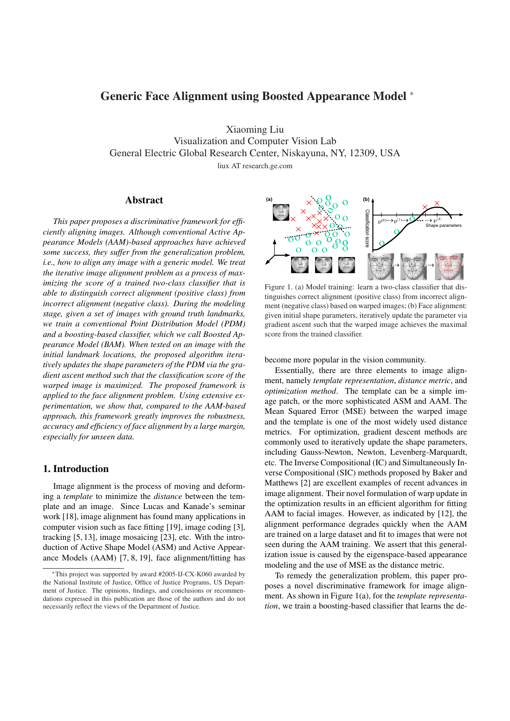# Generic Face Alignment using Boosted Appearance Model <sup>∗</sup>

Xiaoming Liu Visualization and Computer Vision Lab General Electric Global Research Center, Niskayuna, NY, 12309, USA liux AT research.ge.com

### Abstract

*This paper proposes a discriminative framework for efficiently aligning images. Although conventional Active Appearance Models (AAM)-based approaches have achieved some success, they suffer from the generalization problem, i.e., how to align any image with a generic model. We treat the iterative image alignment problem as a process of maximizing the score of a trained two-class classifier that is able to distinguish correct alignment (positive class) from incorrect alignment (negative class). During the modeling stage, given a set of images with ground truth landmarks, we train a conventional Point Distribution Model (PDM) and a boosting-based classifier, which we call Boosted Appearance Model (BAM). When tested on an image with the initial landmark locations, the proposed algorithm iteratively updates the shape parameters of the PDM via the gradient ascent method such that the classification score of the warped image is maximized. The proposed framework is applied to the face alignment problem. Using extensive experimentation, we show that, compared to the AAM-based approach, this framework greatly improves the robustness, accuracy and efficiency of face alignment by a large margin, especially for unseen data.*

### 1. Introduction

Image alignment is the process of moving and deforming a *template* to minimize the *distance* between the template and an image. Since Lucas and Kanade's seminar work [18], image alignment has found many applications in computer vision such as face fitting [19], image coding [3], tracking [5, 13], image mosaicing [23], etc. With the introduction of Active Shape Model (ASM) and Active Appearance Models (AAM) [7, 8, 19], face alignment/fitting has



Figure 1. (a) Model training: learn a two-class classifier that distinguishes correct alignment (positive class) from incorrect alignment (negative class) based on warped images; (b) Face alignment: given initial shape parameters, iteratively update the parameter via gradient ascent such that the warped image achieves the maximal score from the trained classifier.

become more popular in the vision community.

Essentially, there are three elements to image alignment, namely *template representation*, *distance metric*, and *optimization method*. The template can be a simple image patch, or the more sophisticated ASM and AAM. The Mean Squared Error (MSE) between the warped image and the template is one of the most widely used distance metrics. For optimization, gradient descent methods are commonly used to iteratively update the shape parameters, including Gauss-Newton, Newton, Levenberg-Marquardt, etc. The Inverse Compositional (IC) and Simultaneously Inverse Compositional (SIC) methods proposed by Baker and Matthews [2] are excellent examples of recent advances in image alignment. Their novel formulation of warp update in the optimization results in an efficient algorithm for fitting AAM to facial images. However, as indicated by [12], the alignment performance degrades quickly when the AAM are trained on a large dataset and fit to images that were not seen during the AAM training. We assert that this generalization issue is caused by the eigenspace-based appearance modeling and the use of MSE as the distance metric.

To remedy the generalization problem, this paper proposes a novel discriminative framework for image alignment. As shown in Figure 1(a), for the *template representation*, we train a boosting-based classifier that learns the de-

<sup>∗</sup>This project was supported by award #2005-IJ-CX-K060 awarded by the National Institute of Justice, Office of Justice Programs, US Department of Justice. The opinions, findings, and conclusions or recommendations expressed in this publication are those of the authors and do not necessarily reflect the views of the Department of Justice.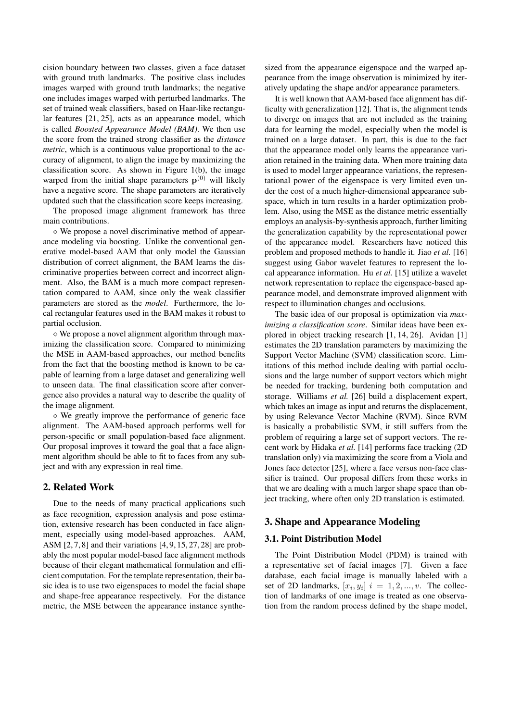cision boundary between two classes, given a face dataset with ground truth landmarks. The positive class includes images warped with ground truth landmarks; the negative one includes images warped with perturbed landmarks. The set of trained weak classifiers, based on Haar-like rectangular features [21, 25], acts as an appearance model, which is called *Boosted Appearance Model (BAM)*. We then use the score from the trained strong classifier as the *distance metric*, which is a continuous value proportional to the accuracy of alignment, to align the image by maximizing the classification score. As shown in Figure 1(b), the image warped from the initial shape parameters  $p^{(0)}$  will likely have a negative score. The shape parameters are iteratively updated such that the classification score keeps increasing.

The proposed image alignment framework has three main contributions.

¦ We propose a novel discriminative method of appearance modeling via boosting. Unlike the conventional generative model-based AAM that only model the Gaussian distribution of correct alignment, the BAM learns the discriminative properties between correct and incorrect alignment. Also, the BAM is a much more compact representation compared to AAM, since only the weak classifier parameters are stored as the *model*. Furthermore, the local rectangular features used in the BAM makes it robust to partial occlusion.

 $\Diamond$  We propose a novel alignment algorithm through maximizing the classification score. Compared to minimizing the MSE in AAM-based approaches, our method benefits from the fact that the boosting method is known to be capable of learning from a large dataset and generalizing well to unseen data. The final classification score after convergence also provides a natural way to describe the quality of the image alignment.

 $\diamond$  We greatly improve the performance of generic face alignment. The AAM-based approach performs well for person-specific or small population-based face alignment. Our proposal improves it toward the goal that a face alignment algorithm should be able to fit to faces from any subject and with any expression in real time.

# 2. Related Work

Due to the needs of many practical applications such as face recognition, expression analysis and pose estimation, extensive research has been conducted in face alignment, especially using model-based approaches. AAM, ASM [2, 7, 8] and their variations [4, 9, 15, 27, 28] are probably the most popular model-based face alignment methods because of their elegant mathematical formulation and efficient computation. For the template representation, their basic idea is to use two eigenspaces to model the facial shape and shape-free appearance respectively. For the distance metric, the MSE between the appearance instance synthesized from the appearance eigenspace and the warped appearance from the image observation is minimized by iteratively updating the shape and/or appearance parameters.

It is well known that AAM-based face alignment has difficulty with generalization [12]. That is, the alignment tends to diverge on images that are not included as the training data for learning the model, especially when the model is trained on a large dataset. In part, this is due to the fact that the appearance model only learns the appearance variation retained in the training data. When more training data is used to model larger appearance variations, the representational power of the eigenspace is very limited even under the cost of a much higher-dimensional appearance subspace, which in turn results in a harder optimization problem. Also, using the MSE as the distance metric essentially employs an analysis-by-synthesis approach, further limiting the generalization capability by the representational power of the appearance model. Researchers have noticed this problem and proposed methods to handle it. Jiao *et al.* [16] suggest using Gabor wavelet features to represent the local appearance information. Hu *et al.* [15] utilize a wavelet network representation to replace the eigenspace-based appearance model, and demonstrate improved alignment with respect to illumination changes and occlusions.

The basic idea of our proposal is optimization via *maximizing a classification score*. Similar ideas have been explored in object tracking research [1, 14, 26]. Avidan [1] estimates the 2D translation parameters by maximizing the Support Vector Machine (SVM) classification score. Limitations of this method include dealing with partial occlusions and the large number of support vectors which might be needed for tracking, burdening both computation and storage. Williams *et al.* [26] build a displacement expert, which takes an image as input and returns the displacement, by using Relevance Vector Machine (RVM). Since RVM is basically a probabilistic SVM, it still suffers from the problem of requiring a large set of support vectors. The recent work by Hidaka *et al.* [14] performs face tracking (2D translation only) via maximizing the score from a Viola and Jones face detector [25], where a face versus non-face classifier is trained. Our proposal differs from these works in that we are dealing with a much larger shape space than object tracking, where often only 2D translation is estimated.

### 3. Shape and Appearance Modeling

#### 3.1. Point Distribution Model

The Point Distribution Model (PDM) is trained with a representative set of facial images [7]. Given a face database, each facial image is manually labeled with a set of 2D landmarks,  $[x_i, y_i]$   $i = 1, 2, ..., v$ . The collection of landmarks of one image is treated as one observation from the random process defined by the shape model,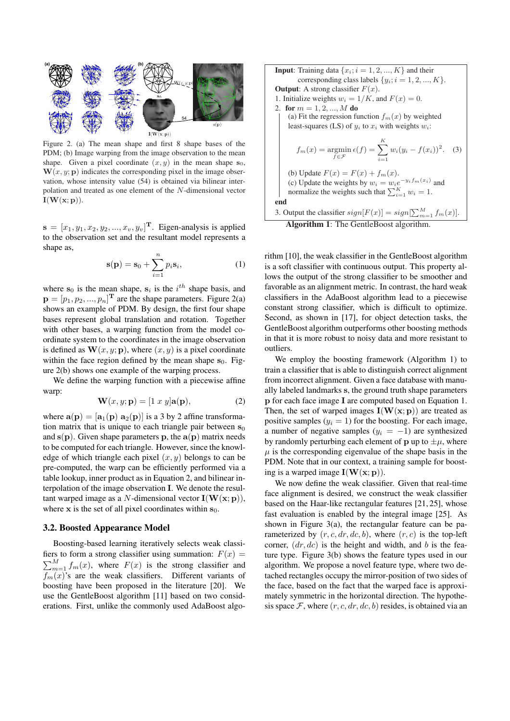

Figure 2. (a) The mean shape and first 8 shape bases of the PDM; (b) Image warping from the image observation to the mean shape. Given a pixel coordinate  $(x, y)$  in the mean shape  $s_0$ ,  $W(x, y; p)$  indicates the corresponding pixel in the image observation, whose intensity value (54) is obtained via bilinear interpolation and treated as one element of the N-dimensional vector  $I(W(x; p)).$ 

 $\mathbf{s} = [x_1, y_1, x_2, y_2, ..., x_v, y_v]$ <sup>T</sup>. Eigen-analysis is applied to the observation set and the resultant model represents a shape as,

$$
\mathbf{s}(\mathbf{p}) = \mathbf{s}_0 + \sum_{i=1}^n p_i \mathbf{s}_i,\tag{1}
$$

where  $s_0$  is the mean shape,  $s_i$  is the  $i^{th}$  shape basis, and  $\mathbf{p} = [p_1, p_2, ..., p_n]^\mathbf{T}$  are the shape parameters. Figure 2(a) shows an example of PDM. By design, the first four shape bases represent global translation and rotation. Together with other bases, a warping function from the model coordinate system to the coordinates in the image observation is defined as  $\mathbf{W}(x, y; \mathbf{p})$ , where  $(x, y)$  is a pixel coordinate within the face region defined by the mean shape  $s_0$ . Figure 2(b) shows one example of the warping process.

We define the warping function with a piecewise affine warp:

$$
\mathbf{W}(x, y; \mathbf{p}) = [1 \ x \ y] \mathbf{a}(\mathbf{p}), \tag{2}
$$

where  $\mathbf{a}(\mathbf{p}) = [\mathbf{a}_1(\mathbf{p}) \ \mathbf{a}_2(\mathbf{p})]$  is a 3 by 2 affine transformation matrix that is unique to each triangle pair between  $s_0$ and  $s(\bf{p})$ . Given shape parameters **p**, the  $a(\bf{p})$  matrix needs to be computed for each triangle. However, since the knowledge of which triangle each pixel  $(x, y)$  belongs to can be pre-computed, the warp can be efficiently performed via a table lookup, inner product as in Equation 2, and bilinear interpolation of the image observation I. We denote the resultant warped image as a N-dimensional vector  $I(W(x; p))$ , where x is the set of all pixel coordinates within  $s_0$ .

# 3.2. Boosted Appearance Model

Boosting-based learning iteratively selects weak classifiers to form a strong classifier using summation:  $F(x) =$  $\sum_{m=1}^{M} f_m(x)$ , where  $F(x)$  is the strong classifier and  $\overline{f_m}(x)$ 's are the weak classifiers. Different variants of boosting have been proposed in the literature [20]. We use the GentleBoost algorithm [11] based on two considerations. First, unlike the commonly used AdaBoost algo**Input:** Training data  $\{x_i; i = 1, 2, ..., K\}$  and their corresponding class labels  $\{y_i; i = 1, 2, ..., K\}.$ **Output:** A strong classifier  $F(x)$ . 1. Initialize weights  $w_i = 1/K$ , and  $F(x) = 0$ . 2. for  $m = 1, 2, ..., M$  do (a) Fit the regression function  $f_m(x)$  by weighted least-squares (LS) of  $y_i$  to  $x_i$  with weights  $w_i$ :  $f_m(x) = \operatorname*{argmin}_{f \in \mathcal{F}} \epsilon(f) = \sum_{i=1}^K$  $i=1$  $w_i(y_i - f(x_i))^2$ . (3) (b) Update  $F(x) = F(x) + f_m(x)$ . (c) Update the weights by  $w_i = w_i e^{-y_i f_m(x_i)}$  and normalize the weights such that  $\sum_{i=1}^{K} w_i = 1$ . end 3. Output the classifier  $sign[F(x)] = sign[\sum_{m=1}^{M} f_m(x)]$ . Algorithm 1: The GentleBoost algorithm.

rithm [10], the weak classifier in the GentleBoost algorithm is a soft classifier with continuous output. This property allows the output of the strong classifier to be smoother and favorable as an alignment metric. In contrast, the hard weak classifiers in the AdaBoost algorithm lead to a piecewise constant strong classifier, which is difficult to optimize. Second, as shown in [17], for object detection tasks, the GentleBoost algorithm outperforms other boosting methods in that it is more robust to noisy data and more resistant to outliers.

We employ the boosting framework (Algorithm 1) to train a classifier that is able to distinguish correct alignment from incorrect alignment. Given a face database with manually labeled landmarks s, the ground truth shape parameters p for each face image I are computed based on Equation 1. Then, the set of warped images  $I(W(x; p))$  are treated as positive samples  $(y_i = 1)$  for the boosting. For each image, a number of negative samples  $(y_i = -1)$  are synthesized by randomly perturbing each element of p up to  $\pm \mu$ , where  $\mu$  is the corresponding eigenvalue of the shape basis in the PDM. Note that in our context, a training sample for boosting is a warped image  $I(W(x; p))$ .

We now define the weak classifier. Given that real-time face alignment is desired, we construct the weak classifier based on the Haar-like rectangular features [21, 25], whose fast evaluation is enabled by the integral image [25]. As shown in Figure 3(a), the rectangular feature can be parameterized by  $(r, c, dr, dc, b)$ , where  $(r, c)$  is the top-left corner,  $(dr, dc)$  is the height and width, and b is the feature type. Figure 3(b) shows the feature types used in our algorithm. We propose a novel feature type, where two detached rectangles occupy the mirror-position of two sides of the face, based on the fact that the warped face is approximately symmetric in the horizontal direction. The hypothesis space F, where  $(r, c, dr, dc, b)$  resides, is obtained via an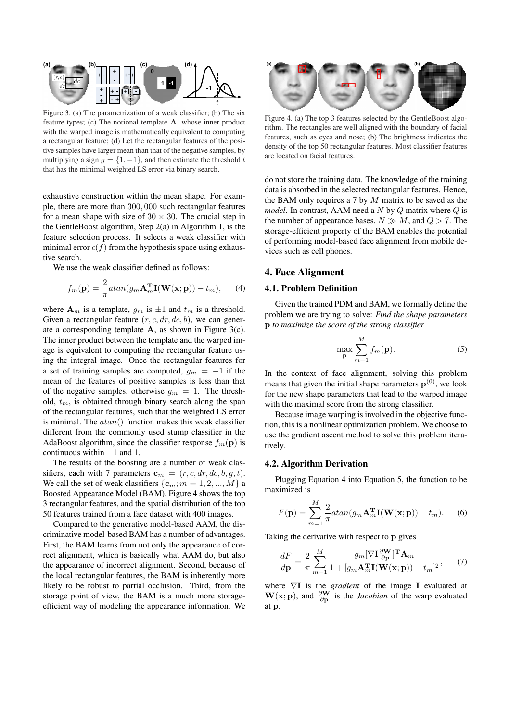

Figure 3. (a) The parametrization of a weak classifier; (b) The six feature types; (c) The notional template A, whose inner product with the warped image is mathematically equivalent to computing a rectangular feature; (d) Let the rectangular features of the positive samples have larger mean than that of the negative samples, by multiplying a sign  $g = \{1, -1\}$ , and then estimate the threshold t that has the minimal weighted LS error via binary search.

exhaustive construction within the mean shape. For example, there are more than 300, 000 such rectangular features for a mean shape with size of  $30 \times 30$ . The crucial step in the GentleBoost algorithm, Step 2(a) in Algorithm 1, is the feature selection process. It selects a weak classifier with minimal error  $\epsilon(f)$  from the hypothesis space using exhaustive search.

We use the weak classifier defined as follows:

$$
f_m(\mathbf{p}) = \frac{2}{\pi} \alpha \tan(g_m \mathbf{A}_m^{\mathbf{T}} \mathbf{I}(\mathbf{W}(\mathbf{x}; \mathbf{p})) - t_m), \quad (4)
$$

where  $\mathbf{A}_m$  is a template,  $g_m$  is  $\pm 1$  and  $t_m$  is a threshold. Given a rectangular feature  $(r, c, dr, dc, b)$ , we can generate a corresponding template A, as shown in Figure 3(c). The inner product between the template and the warped image is equivalent to computing the rectangular feature using the integral image. Once the rectangular features for a set of training samples are computed,  $g_m = -1$  if the mean of the features of positive samples is less than that of the negative samples, otherwise  $g_m = 1$ . The threshold,  $t_m$ , is obtained through binary search along the span of the rectangular features, such that the weighted LS error is minimal. The  $atan()$  function makes this weak classifier different from the commonly used stump classifier in the AdaBoost algorithm, since the classifier response  $f_m(\mathbf{p})$  is continuous within −1 and 1. Figure 1.1 The modeling the search is the search of the search of modeling the search of modeling the search of modeling the search of modeling the search of modeling the search of modeling the search of the search of the

The results of the boosting are a number of weak classifiers, each with 7 parameters  $\mathbf{c}_m = (r, c, dr, dc, b, q, t)$ . We call the set of weak classifiers  $\{c_m; m = 1, 2, ..., M\}$  a Boosted Appearance Model (BAM). Figure 4 shows the top 3 rectangular features, and the spatial distribution of the top 50 features trained from a face dataset with 400 images.

Compared to the generative model-based AAM, the discriminative model-based BAM has a number of advantages. First, the BAM learns from not only the appearance of correct alignment, which is basically what AAM do, but also the appearance of incorrect alignment. Second, because of the local rectangular features, the BAM is inherently more likely to be robust to partial occlusion. Third, from the storage point of view, the BAM is a much more storage-



Figure 4. (a) The top 3 features selected by the GentleBoost algorithm. The rectangles are well aligned with the boundary of facial features, such as eyes and nose; (b) The brightness indicates the density of the top 50 rectangular features. Most classifier features are located on facial features.

do not store the training data. The knowledge of the training data is absorbed in the selected rectangular features. Hence, the BAM only requires a 7 by  $M$  matrix to be saved as the *model*. In contrast, AAM need a N by Q matrix where Q is the number of appearance bases,  $N \gg M$ , and  $Q > 7$ . The storage-efficient property of the BAM enables the potential of performing model-based face alignment from mobile devices such as cell phones.

### 4. Face Alignment

# 4.1. Problem Definition

Given the trained PDM and BAM, we formally define the problem we are trying to solve: *Find the shape parameters* p *to maximize the score of the strong classifier*

$$
\max_{\mathbf{p}} \sum_{m=1}^{M} f_m(\mathbf{p}).
$$
 (5)

In the context of face alignment, solving this problem means that given the initial shape parameters  $p^{(0)}$ , we look for the new shape parameters that lead to the warped image with the maximal score from the strong classifier.

Because image warping is involved in the objective function, this is a nonlinear optimization problem. We choose to use the gradient ascent method to solve this problem iteratively.

### 4.2. Algorithm Derivation

Plugging Equation 4 into Equation 5, the function to be maximized is

$$
F(\mathbf{p}) = \sum_{m=1}^{M} \frac{2}{\pi} \alpha \tan(g_m \mathbf{A}_m^{\mathbf{T}} \mathbf{I}(\mathbf{W}(\mathbf{x}; \mathbf{p})) - t_m).
$$
 (6)

Taking the derivative with respect to p gives

$$
\frac{dF}{d\mathbf{p}} = \frac{2}{\pi} \sum_{m=1}^{M} \frac{g_m [\nabla \mathbf{I} \frac{\partial \mathbf{W}}{\partial \mathbf{p}}]^{\mathbf{T}} \mathbf{A}_m}{1 + [g_m \mathbf{A}_m^{\mathbf{T}} \mathbf{I}(\mathbf{W}(\mathbf{x}; \mathbf{p})) - t_m]^2},\tag{7}
$$

where ∇I is the *gradient* of the image I evaluated at  $W(x, p)$ , and  $\frac{\partial W}{\partial p}$  is the *Jacobian* of the warp evaluated at p.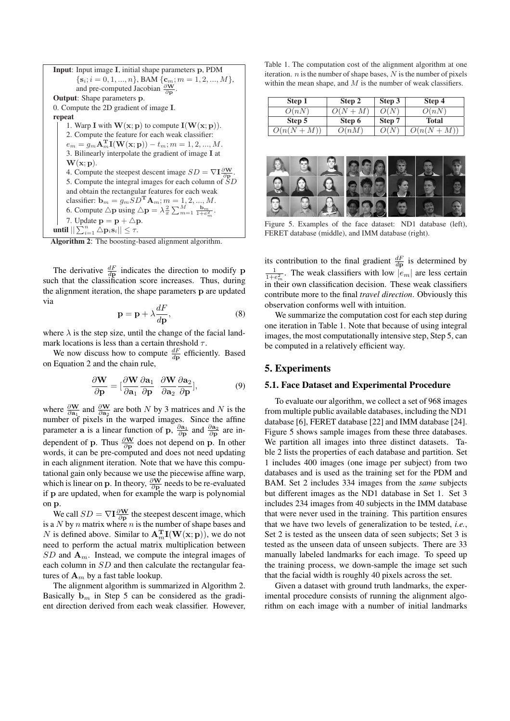Input: Input image I, initial shape parameters p, PDM  ${s_i; i = 0, 1, ..., n}$ , BAM  ${c_m; m = 1, 2, ..., M}$ , and pre-computed Jacobian  $\frac{\partial W}{\partial p}$ . Output: Shape parameters p. 0. Compute the 2D gradient of image I. repeat 1. Warp **I** with  $W(x; p)$  to compute  $I(W(x; p))$ . 2. Compute the feature for each weak classifier:  $e_m = g_m \mathbf{A}_m^{\mathbf{T}} \mathbf{I}(\mathbf{W}(\mathbf{x}; \mathbf{p})) - t_m; m = 1, 2, ..., M.$ 3. Bilinearly interpolate the gradient of image I at  $W(x; p)$ . 4. Compute the steepest descent image  $SD = \nabla \mathbf{I} \frac{\partial \mathbf{W}}{\partial \mathbf{p}}$ . 5. Compute the integral images for each column of  $\overline{SD}$ and obtain the rectangular features for each weak classifier:  $\mathbf{b}_m = g_m SD^{\mathbf{T}} \mathbf{A}_m$ ;  $m = 1, 2, ..., M$ . Classifier:  $\mathbf{b}_m = g_m sD \mathbf{A}_m; m = 1, 2, ..., M$ .<br>6. Compute  $\Delta \mathbf{p}$  using  $\Delta \mathbf{p} = \lambda \frac{2}{\pi} \sum_{m=1}^{M} \frac{\mathbf{b}_m}{1 + e_m^2}$ . 7. Update  $\mathbf{p} = \mathbf{p} + \triangle \mathbf{p}$ .  $\|P\| \leq \max_{i=1}^n |\Delta \mathbf{p}_i \mathbf{s}_i| \leq \tau.$ 

Algorithm 2: The boosting-based alignment algorithm.

The derivative  $\frac{dF}{dp}$  indicates the direction to modify **p** such that the classification score increases. Thus, during the alignment iteration, the shape parameters p are updated via

$$
\mathbf{p} = \mathbf{p} + \lambda \frac{dF}{d\mathbf{p}},\tag{8}
$$

where  $\lambda$  is the step size, until the change of the facial landmark locations is less than a certain threshold  $\tau$ .

We now discuss how to compute  $\frac{dF}{dp}$  efficiently. Based on Equation 2 and the chain rule,

$$
\frac{\partial \mathbf{W}}{\partial \mathbf{p}} = [\frac{\partial \mathbf{W}}{\partial \mathbf{a}_1} \frac{\partial \mathbf{a}_1}{\partial \mathbf{p}} \frac{\partial \mathbf{W}}{\partial \mathbf{a}_2} \frac{\partial \mathbf{a}_2}{\partial \mathbf{p}}], \tag{9}
$$

where  $\frac{\partial W}{\partial a_1}$  and  $\frac{\partial W}{\partial a_2}$  are both N by 3 matrices and N is the number of pixels in the warped images. Since the affine parameter a is a linear function of p,  $\frac{\partial a_1}{\partial p}$  and  $\frac{\partial a_2}{\partial p}$  are independent of p. Thus  $\frac{\partial W}{\partial p}$  does not depend on p. In other words, it can be pre-computed and does not need updating in each alignment iteration. Note that we have this computational gain only because we use the piecewise affine warp, which is linear on p. In theory,  $\frac{\partial \mathbf{W}}{\partial \mathbf{p}}$  needs to be re-evaluated if p are updated, when for example the warp is polynomial on p.

We call  $SD = \nabla \mathbf{I} \frac{\partial \mathbf{W}}{\partial \mathbf{p}}$  the steepest descent image, which is a N by n matrix where n is the number of shape bases and N is defined above. Similar to  $A_m^T I(W(x; p))$ , we do not need to perform the actual matrix multiplication between  $SD$  and  $A_m$ . Instead, we compute the integral images of each column in SD and then calculate the rectangular features of  $A_m$  by a fast table lookup.

The alignment algorithm is summarized in Algorithm 2. Basically  $\mathbf{b}_m$  in Step 5 can be considered as the gradient direction derived from each weak classifier. However,

Table 1. The computation cost of the alignment algorithm at one iteration.  $n$  is the number of shape bases,  $N$  is the number of pixels within the mean shape, and  $M$  is the number of weak classifiers.

| Step 1                   | Step 2 | Step 3 | Step 4       |
|--------------------------|--------|--------|--------------|
| O(nN)                    | $+M$   |        | O(nN)        |
| Step 5                   | Step 6 | Step 7 | <b>Total</b> |
| M <sub>1</sub><br>O(n(N) | O(nM)  |        | $O(n(N+M))$  |



Figure 5. Examples of the face dataset: ND1 database (left), FERET database (middle), and IMM database (right).

its contribution to the final gradient  $\frac{dF}{dp}$  is determined by  $\frac{1}{1+e_m^2}$ . The weak classifiers with low  $\vert e_m \vert$  are less certain in their own classification decision. These weak classifiers contribute more to the final *travel direction*. Obviously this observation conforms well with intuition.

We summarize the computation cost for each step during one iteration in Table 1. Note that because of using integral images, the most computationally intensive step, Step 5, can be computed in a relatively efficient way.

#### 5. Experiments

#### 5.1. Face Dataset and Experimental Procedure

To evaluate our algorithm, we collect a set of 968 images from multiple public available databases, including the ND1 database [6], FERET database [22] and IMM database [24]. Figure 5 shows sample images from these three databases. We partition all images into three distinct datasets. Table 2 lists the properties of each database and partition. Set 1 includes 400 images (one image per subject) from two databases and is used as the training set for the PDM and BAM. Set 2 includes 334 images from the *same* subjects but different images as the ND1 database in Set 1. Set 3 includes 234 images from 40 subjects in the IMM database that were never used in the training. This partition ensures that we have two levels of generalization to be tested, *i.e.*, Set 2 is tested as the unseen data of seen subjects; Set 3 is tested as the unseen data of unseen subjects. There are 33 manually labeled landmarks for each image. To speed up the training process, we down-sample the image set such that the facial width is roughly 40 pixels across the set.

Given a dataset with ground truth landmarks, the experimental procedure consists of running the alignment algorithm on each image with a number of initial landmarks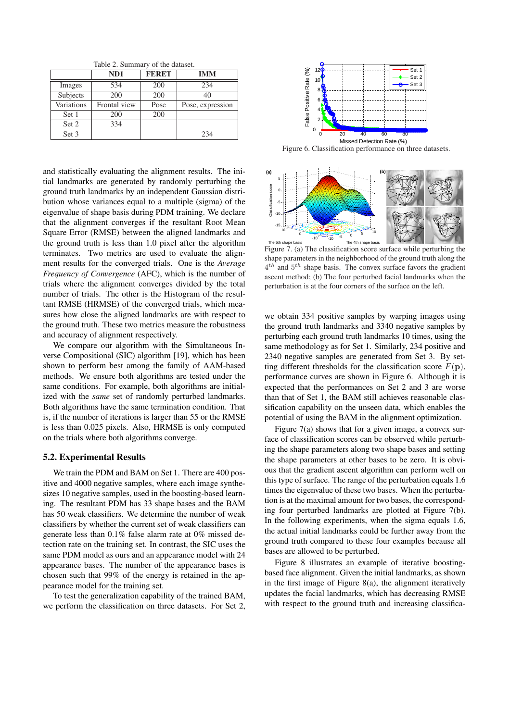Table 2. Summary of the dataset.

|            | ND1          | <b>FERET</b> | <b>IMM</b>       |
|------------|--------------|--------------|------------------|
| Images     | 534          | 200          | 234              |
| Subjects   | 200          | 200          | 40               |
| Variations | Frontal view | Pose         | Pose, expression |
| Set 1      | 200          | 200          |                  |
| Set 2      | 334          |              |                  |
| Set 3      |              |              | 234              |

and statistically evaluating the alignment results. The initial landmarks are generated by randomly perturbing the ground truth landmarks by an independent Gaussian distribution whose variances equal to a multiple (sigma) of the eigenvalue of shape basis during PDM training. We declare that the alignment converges if the resultant Root Mean Square Error (RMSE) between the aligned landmarks and the ground truth is less than 1.0 pixel after the algorithm terminates. Two metrics are used to evaluate the alignment results for the converged trials. One is the *Average Frequency of Convergence* (AFC), which is the number of trials where the alignment converges divided by the total number of trials. The other is the Histogram of the resultant RMSE (HRMSE) of the converged trials, which measures how close the aligned landmarks are with respect to the ground truth. These two metrics measure the robustness and accuracy of alignment respectively. set and<br>
and statistically realizating the alignment results. The time<br>
reading the signaristic energy is a distribution of the classical interaction of the control of the classical interaction of the control of the class

We compare our algorithm with the Simultaneous Inverse Compositional (SIC) algorithm [19], which has been shown to perform best among the family of AAM-based methods. We ensure both algorithms are tested under the same conditions. For example, both algorithms are initialized with the *same* set of randomly perturbed landmarks. Both algorithms have the same termination condition. That is, if the number of iterations is larger than 55 or the RMSE is less than 0.025 pixels. Also, HRMSE is only computed on the trials where both algorithms converge.

### 5.2. Experimental Results

We train the PDM and BAM on Set 1. There are 400 positive and 4000 negative samples, where each image synthesizes 10 negative samples, used in the boosting-based learning. The resultant PDM has 33 shape bases and the BAM has 50 weak classifiers. We determine the number of weak classifiers by whether the current set of weak classifiers can generate less than 0.1% false alarm rate at 0% missed detection rate on the training set. In contrast, the SIC uses the same PDM model as ours and an appearance model with 24 appearance bases. The number of the appearance bases is chosen such that 99% of the energy is retained in the appearance model for the training set.

To test the generalization capability of the trained BAM,



Figure 6. Classification performance on three datasets.



Figure 7. (a) The classification score surface while perturbing the shape parameters in the neighborhood of the ground truth along the  $4^{th}$  and  $5^{th}$  shape basis. The convex surface favors the gradient ascent method; (b) The four perturbed facial landmarks when the perturbation is at the four corners of the surface on the left.

we obtain 334 positive samples by warping images using the ground truth landmarks and 3340 negative samples by perturbing each ground truth landmarks 10 times, using the same methodology as for Set 1. Similarly, 234 positive and 2340 negative samples are generated from Set 3. By setting different thresholds for the classification score  $F(\mathbf{p})$ , performance curves are shown in Figure 6. Although it is expected that the performances on Set 2 and 3 are worse than that of Set 1, the BAM still achieves reasonable classification capability on the unseen data, which enables the potential of using the BAM in the alignment optimization.

Figure 7(a) shows that for a given image, a convex surface of classification scores can be observed while perturbing the shape parameters along two shape bases and setting the shape parameters at other bases to be zero. It is obvious that the gradient ascent algorithm can perform well on this type of surface. The range of the perturbation equals 1.6 times the eigenvalue of these two bases. When the perturbation is at the maximal amount for two bases, the corresponding four perturbed landmarks are plotted at Figure 7(b). In the following experiments, when the sigma equals 1.6, the actual initial landmarks could be further away from the ground truth compared to these four examples because all bases are allowed to be perturbed.

Figure 8 illustrates an example of iterative boostingbased face alignment. Given the initial landmarks, as shown in the first image of Figure 8(a), the alignment iteratively updates the facial landmarks, which has decreasing RMSE with respect to the ground truth and increasing classifica-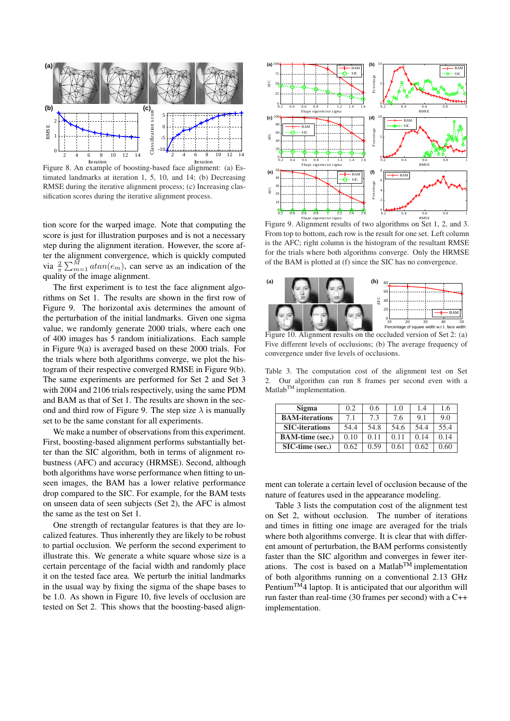

Figure 8. An example of boosting-based face alignment: (a) Estimated landmarks at iteration 1, 5, 10, and 14; (b) Decreasing RMSE during the iterative alignment process; (c) Increasing classification scores during the iterative alignment process.

tion score for the warped image. Note that computing the score is just for illustration purposes and is not a necessary step during the alignment iteration. However, the score after the alignment convergence, which is quickly computed via  $\frac{2}{\pi}$ angularities convergence, which is quickly computed<br> $\sum_{m=1}^{M} \alpha \tan(e_m)$ , can serve as an indication of the quality of the image alignment.

The first experiment is to test the face alignment algorithms on Set 1. The results are shown in the first row of Figure 9. The horizontal axis determines the amount of the perturbation of the initial landmarks. Given one sigma value, we randomly generate 2000 trials, where each one of 400 images has 5 random initializations. Each sample in Figure 9(a) is averaged based on these 2000 trials. For the trials where both algorithms converge, we plot the histogram of their respective converged RMSE in Figure 9(b). The same experiments are performed for Set 2 and Set 3 with 2004 and 2106 trials respectively, using the same PDM and BAM as that of Set 1. The results are shown in the second and third row of Figure 9. The step size  $\lambda$  is manually set to be the same constant for all experiments.

We make a number of observations from this experiment. First, boosting-based alignment performs substantially better than the SIC algorithm, both in terms of alignment robustness (AFC) and accuracy (HRMSE). Second, although both algorithms have worse performance when fitting to unseen images, the BAM has a lower relative performance drop compared to the SIC. For example, for the BAM tests on unseen data of seen subjects (Set 2), the AFC is almost the same as the test on Set 1.

One strength of rectangular features is that they are localized features. Thus inherently they are likely to be robust to partial occlusion. We perform the second experiment to illustrate this. We generate a white square whose size is a certain percentage of the facial width and randomly place it on the tested face area. We perturb the initial landmarks in the usual way by fixing the sigma of the shape bases to be 1.0. As shown in Figure 10, five levels of occlusion are tested on Set 2. This shows that the boosting-based align-



From top to bottom, each row is the result for one set. Left column is the AFC; right column is the histogram of the resultant RMSE for the trials where both algorithms converge. Only the HRMSE of the BAM is plotted at (f) since the SIC has no convergence.



Figure 10. Alignment results on the occluded version of Set 2: (a) Five different levels of occlusions; (b) The average frequency of convergence under five levels of occlusions.

Table 3. The computation cost of the alignment test on Set 2. Our algorithm can run 8 frames per second even with a  $M$ atlab<sup>TM</sup> implementation.

| <b>Sigma</b>           | 0.2  | 0.6  | 1.0  | 1.4  | 1.6  |
|------------------------|------|------|------|------|------|
| <b>BAM-iterations</b>  | 7.1  | 7.3  | 7.6  | 9.1  | 9.0  |
| <b>SIC-iterations</b>  | 54.4 | 54.8 | 54.6 | 54.4 | 55.4 |
| <b>BAM-time (sec.)</b> | 0.10 | 0.11 | 0.11 | 0.14 | 0.14 |
| SIC-time (sec.)        | 0.62 | 0.59 | 0.61 | 0.62 | 0.60 |

ment can tolerate a certain level of occlusion because of the nature of features used in the appearance modeling.

Table 3 lists the computation cost of the alignment test on Set 2, without occlusion. The number of iterations and times in fitting one image are averaged for the trials where both algorithms converge. It is clear that with different amount of perturbation, the BAM performs consistently faster than the SIC algorithm and converges in fewer iterations. The cost is based on a Matlab<sup>TM</sup> implementation of both algorithms running on a conventional 2.13 GHz Pentium<sup>TM</sup>4 laptop. It is anticipated that our algorithm will run faster than real-time (30 frames per second) with a C++ implementation.